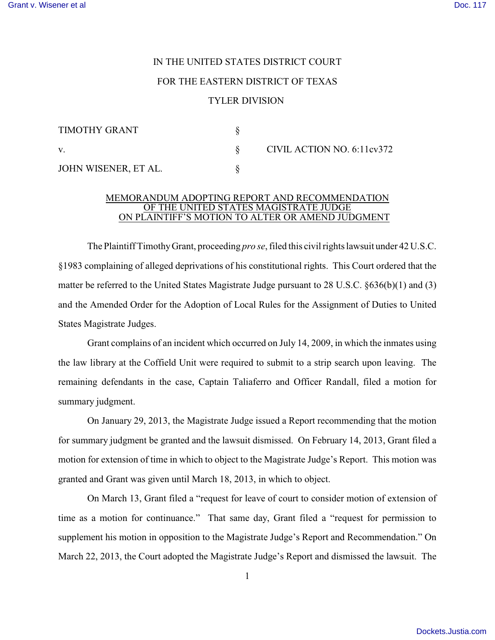## IN THE UNITED STATES DISTRICT COURT FOR THE EASTERN DISTRICT OF TEXAS TYLER DIVISION

| TIMOTHY GRANT        |                            |
|----------------------|----------------------------|
| $\mathbf V$ .        | CIVIL ACTION NO. 6:11cv372 |
| JOHN WISENER, ET AL. |                            |

## MEMORANDUM ADOPTING REPORT AND RECOMMENDATION OF THE UNITED STATES MAGISTRATE JUDGE ON PLAINTIFF'S MOTION TO ALTER OR AMEND JUDGMENT

The Plaintiff Timothy Grant, proceeding *pro se*, filed this civil rights lawsuit under 42 U.S.C. §1983 complaining of alleged deprivations of his constitutional rights. This Court ordered that the matter be referred to the United States Magistrate Judge pursuant to 28 U.S.C. §636(b)(1) and (3) and the Amended Order for the Adoption of Local Rules for the Assignment of Duties to United States Magistrate Judges.

Grant complains of an incident which occurred on July 14, 2009, in which the inmates using the law library at the Coffield Unit were required to submit to a strip search upon leaving. The remaining defendants in the case, Captain Taliaferro and Officer Randall, filed a motion for summary judgment.

On January 29, 2013, the Magistrate Judge issued a Report recommending that the motion for summary judgment be granted and the lawsuit dismissed. On February 14, 2013, Grant filed a motion for extension of time in which to object to the Magistrate Judge's Report. This motion was granted and Grant was given until March 18, 2013, in which to object.

On March 13, Grant filed a "request for leave of court to consider motion of extension of time as a motion for continuance." That same day, Grant filed a "request for permission to supplement his motion in opposition to the Magistrate Judge's Report and Recommendation." On March 22, 2013, the Court adopted the Magistrate Judge's Report and dismissed the lawsuit. The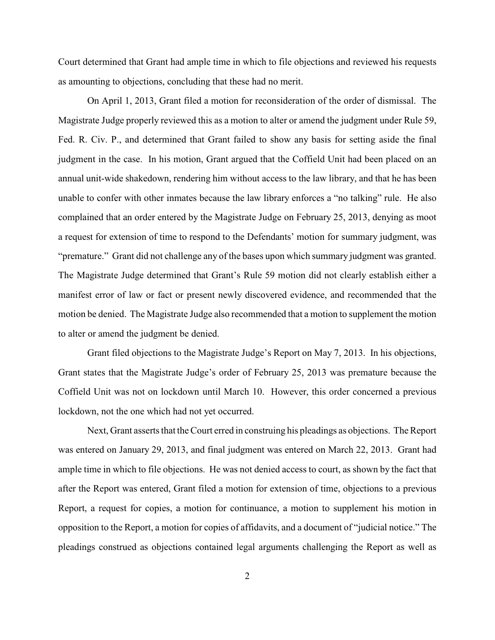Court determined that Grant had ample time in which to file objections and reviewed his requests as amounting to objections, concluding that these had no merit.

On April 1, 2013, Grant filed a motion for reconsideration of the order of dismissal. The Magistrate Judge properly reviewed this as a motion to alter or amend the judgment under Rule 59, Fed. R. Civ. P., and determined that Grant failed to show any basis for setting aside the final judgment in the case. In his motion, Grant argued that the Coffield Unit had been placed on an annual unit-wide shakedown, rendering him without access to the law library, and that he has been unable to confer with other inmates because the law library enforces a "no talking" rule. He also complained that an order entered by the Magistrate Judge on February 25, 2013, denying as moot a request for extension of time to respond to the Defendants' motion for summary judgment, was "premature." Grant did not challenge any of the bases upon which summary judgment was granted. The Magistrate Judge determined that Grant's Rule 59 motion did not clearly establish either a manifest error of law or fact or present newly discovered evidence, and recommended that the motion be denied. The Magistrate Judge also recommended that a motion to supplement the motion to alter or amend the judgment be denied.

Grant filed objections to the Magistrate Judge's Report on May 7, 2013. In his objections, Grant states that the Magistrate Judge's order of February 25, 2013 was premature because the Coffield Unit was not on lockdown until March 10. However, this order concerned a previous lockdown, not the one which had not yet occurred.

Next, Grant asserts that the Court erred in construing his pleadings as objections. The Report was entered on January 29, 2013, and final judgment was entered on March 22, 2013. Grant had ample time in which to file objections. He was not denied access to court, as shown by the fact that after the Report was entered, Grant filed a motion for extension of time, objections to a previous Report, a request for copies, a motion for continuance, a motion to supplement his motion in opposition to the Report, a motion for copies of affidavits, and a document of "judicial notice." The pleadings construed as objections contained legal arguments challenging the Report as well as